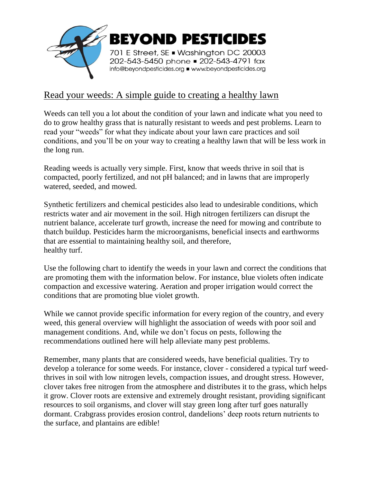

## Read your weeds: A simple guide to creating a healthy lawn

Weeds can tell you a lot about the condition of your lawn and indicate what you need to do to grow healthy grass that is naturally resistant to weeds and pest problems. Learn to read your "weeds" for what they indicate about your lawn care practices and soil conditions, and you'll be on your way to creating a healthy lawn that will be less work in the long run.

Reading weeds is actually very simple. First, know that weeds thrive in soil that is compacted, poorly fertilized, and not pH balanced; and in lawns that are improperly watered, seeded, and mowed.

Synthetic fertilizers and chemical pesticides also lead to undesirable conditions, which restricts water and air movement in the soil. High nitrogen fertilizers can disrupt the nutrient balance, accelerate turf growth, increase the need for mowing and contribute to thatch buildup. Pesticides harm the microorganisms, beneficial insects and earthworms that are essential to maintaining healthy soil, and therefore, healthy turf.

Use the following chart to identify the weeds in your lawn and correct the conditions that are promoting them with the information below. For instance, blue violets often indicate compaction and excessive watering. Aeration and proper irrigation would correct the conditions that are promoting blue violet growth.

While we cannot provide specific information for every region of the country, and every weed, this general overview will highlight the association of weeds with poor soil and management conditions. And, while we don't focus on pests, following the recommendations outlined here will help alleviate many pest problems.

Remember, many plants that are considered weeds, have beneficial qualities. Try to develop a tolerance for some weeds. For instance, clover - considered a typical turf weedthrives in soil with low nitrogen levels, compaction issues, and drought stress. However, clover takes free nitrogen from the atmosphere and distributes it to the grass, which helps it grow. Clover roots are extensive and extremely drought resistant, providing significant resources to soil organisms, and clover will stay green long after turf goes naturally dormant. Crabgrass provides erosion control, dandelions' deep roots return nutrients to the surface, and plantains are edible!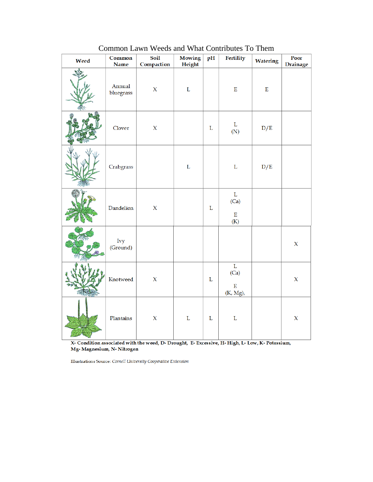| Weed | Common<br><b>Name</b> | Soil<br>Compaction | <b>Mowing</b><br>Height | pH          | Fertility                                      | Watering    | Poor<br><b>Drainage</b> |
|------|-----------------------|--------------------|-------------------------|-------------|------------------------------------------------|-------------|-------------------------|
|      | Annual<br>bluegrass   | $\mathbf X$        | $\mathbf L$             |             | $\mathbf E$                                    | $\mathbf E$ |                         |
|      | Clover                | $\mathsf X$        |                         | $\mathbf L$ | L<br>(N)                                       | D/E         |                         |
|      | Crabgrass             |                    | $\mathbf L$             |             | $\mathbf L$                                    | D/E         |                         |
|      | Dandelion             | $\mathsf X$        |                         | $\mathbf L$ | $\mathbf L$<br>(Ca)<br>$\mathbf E$<br>(K)      |             |                         |
|      | Ivy<br>(Ground)       |                    |                         |             |                                                |             | $\mathsf X$             |
|      | Knotweed              | $\mathsf X$        |                         | $\mathbf L$ | $\mathbf L$<br>(Ca)<br>$\mathbf E$<br>(K, Mg), |             | $\mathsf X$             |
|      | Plantains             | $\mathsf X$        | $\mathbf L$             | $\mathbf L$ | $\mathbf L$                                    |             | $\mathsf X$             |

Common Lawn Weeds and What Contributes To Them

X- Condition associated with the weed, D- Drought, E- Excessive, H- High, L- Low, K- Potassium, Mg-Magnesium, N-Nitrogen

Illustrations Source: Cornell University Cooperative Extension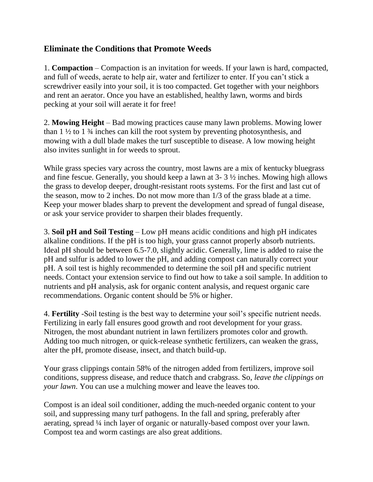## **Eliminate the Conditions that Promote Weeds**

1. **Compaction** – Compaction is an invitation for weeds. If your lawn is hard, compacted, and full of weeds, aerate to help air, water and fertilizer to enter. If you can't stick a screwdriver easily into your soil, it is too compacted. Get together with your neighbors and rent an aerator. Once you have an established, healthy lawn, worms and birds pecking at your soil will aerate it for free!

2. **Mowing Height** – Bad mowing practices cause many lawn problems. Mowing lower than  $1\frac{1}{2}$  to  $1\frac{3}{4}$  inches can kill the root system by preventing photosynthesis, and mowing with a dull blade makes the turf susceptible to disease. A low mowing height also invites sunlight in for weeds to sprout.

While grass species vary across the country, most lawns are a mix of kentucky bluegrass and fine fescue. Generally, you should keep a lawn at 3- 3 ½ inches. Mowing high allows the grass to develop deeper, drought-resistant roots systems. For the first and last cut of the season, mow to 2 inches. Do not mow more than 1/3 of the grass blade at a time. Keep your mower blades sharp to prevent the development and spread of fungal disease, or ask your service provider to sharpen their blades frequently.

3. **Soil pH and Soil Testing** – Low pH means acidic conditions and high pH indicates alkaline conditions. If the pH is too high, your grass cannot properly absorb nutrients. Ideal pH should be between 6.5-7.0, slightly acidic. Generally, lime is added to raise the pH and sulfur is added to lower the pH, and adding compost can naturally correct your pH. A soil test is highly recommended to determine the soil pH and specific nutrient needs. Contact your extension service to find out how to take a soil sample. In addition to nutrients and pH analysis, ask for organic content analysis, and request organic care recommendations. Organic content should be 5% or higher.

4. **Fertility** -Soil testing is the best way to determine your soil's specific nutrient needs. Fertilizing in early fall ensures good growth and root development for your grass. Nitrogen, the most abundant nutrient in lawn fertilizers promotes color and growth. Adding too much nitrogen, or quick-release synthetic fertilizers, can weaken the grass, alter the pH, promote disease, insect, and thatch build-up.

Your grass clippings contain 58% of the nitrogen added from fertilizers, improve soil conditions, suppress disease, and reduce thatch and crabgrass. So, *leave the clippings on your lawn*. You can use a mulching mower and leave the leaves too.

Compost is an ideal soil conditioner, adding the much-needed organic content to your soil, and suppressing many turf pathogens. In the fall and spring, preferably after aerating, spread ¼ inch layer of organic or naturally-based compost over your lawn. Compost tea and worm castings are also great additions.